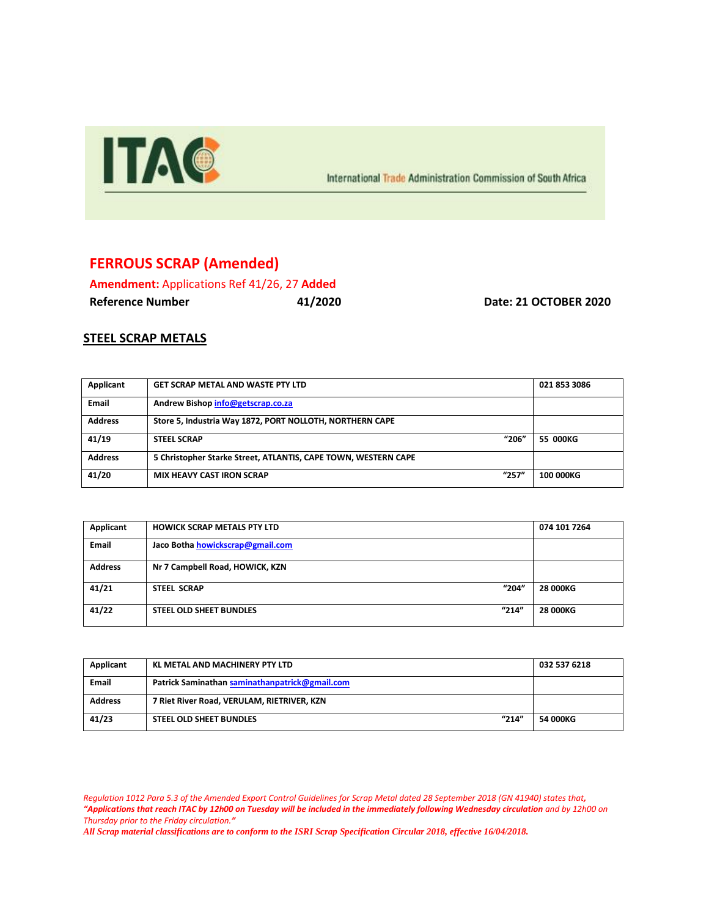

International Trade Administration Commission of South Africa

## **FERROUS SCRAP (Amended)**

**Amendment:** Applications Ref 41/26, 27 **Added Reference Number 41/2020 Date: 21 OCTOBER 2020**

## **STEEL SCRAP METALS**

| Applicant      | <b>GET SCRAP METAL AND WASTE PTY LTD</b>                       | 021 853 3086 |
|----------------|----------------------------------------------------------------|--------------|
| Email          | Andrew Bishop info@getscrap.co.za                              |              |
| <b>Address</b> | Store 5, Industria Way 1872, PORT NOLLOTH, NORTHERN CAPE       |              |
| 41/19          | "206"<br><b>STEEL SCRAP</b>                                    | 55 000KG     |
| <b>Address</b> | 5 Christopher Starke Street, ATLANTIS, CAPE TOWN, WESTERN CAPE |              |
| 41/20          | "257"<br><b>MIX HEAVY CAST IRON SCRAP</b>                      | 100 000KG    |

| Applicant      | <b>HOWICK SCRAP METALS PTY LTD</b>      | 074 101 7264    |
|----------------|-----------------------------------------|-----------------|
| <b>Email</b>   | Jaco Botha howickscrap@gmail.com        |                 |
| <b>Address</b> | Nr 7 Campbell Road, HOWICK, KZN         |                 |
| 41/21          | "204"<br><b>STEEL SCRAP</b>             | <b>28 000KG</b> |
| 41/22          | "214"<br><b>STEEL OLD SHEET BUNDLES</b> | <b>28 000KG</b> |

| Applicant      | KL METAL AND MACHINERY PTY LTD                 | 032 537 6218 |
|----------------|------------------------------------------------|--------------|
| <b>Email</b>   | Patrick Saminathan saminathanpatrick@gmail.com |              |
| <b>Address</b> | 7 Riet River Road, VERULAM, RIETRIVER, KZN     |              |
| 41/23          | "214"<br><b>STEEL OLD SHEET BUNDLES</b>        | 54 000KG     |

*Regulation 1012 Para 5.3 of the Amended Export Control Guidelines for Scrap Metal dated 28 September 2018 (GN 41940) states that, "Applications that reach ITAC by 12h00 on Tuesday will be included in the immediately following Wednesday circulation and by 12h00 on Thursday prior to the Friday circulation."*

*All Scrap material classifications are to conform to the ISRI Scrap Specification Circular 2018, effective 16/04/2018.*